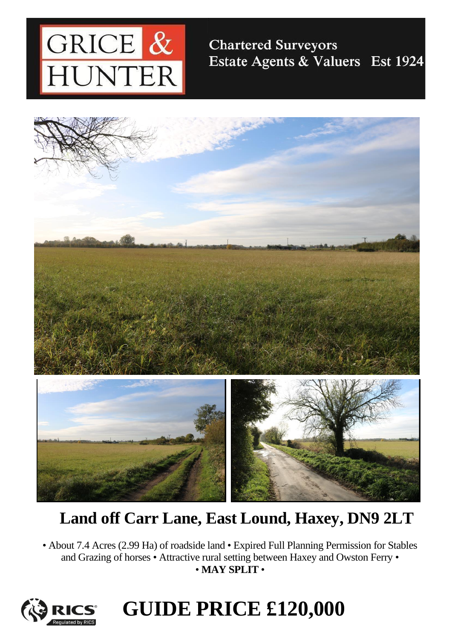

### **Chartered Surveyors** Estate Agents & Valuers Est 1924



## **Land off Carr Lane, East Lound, Haxey, DN9 2LT**

• About 7.4 Acres (2.99 Ha) of roadside land • Expired Full Planning Permission for Stables and Grazing of horses • Attractive rural setting between Haxey and Owston Ferry • • **MAY SPLIT** •



# **GUIDE PRICE £120,000**